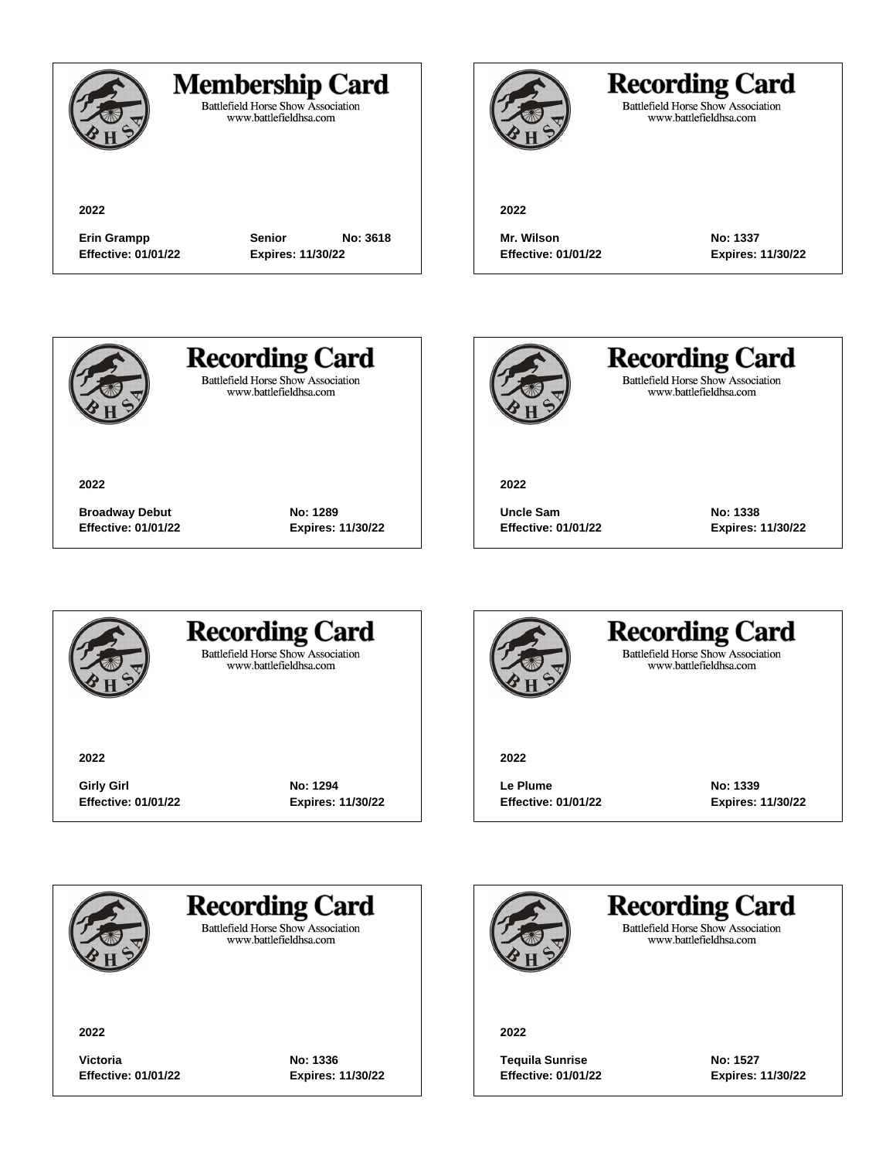

#### **Membership Card**

Battlefield Horse Show Association<br>www.battlefieldhsa.com

**2022**

**Effective: 01/01/22 Expires: 11/30/22**

**Erin Grampp Senior No: 3618**



### **Recording Card**

Battlefield Horse Show Association<br>www.battlefieldhsa.com

**2022**

**Mr. Wilson No: 1337 Effective: 01/01/22 Expires: 11/30/22**



**2022**

**Recording Card Battlefield Horse Show Association** 

www.battlefieldhsa.com



**Recording Card** Battlefield Horse Show Association<br>www.battlefieldhsa.com

**2022**

**Uncle Sam No: 1338 Effective: 01/01/22 Expires: 11/30/22**



#### **Recording Card Battlefield Horse Show Association**

**Broadway Debut No: 1289 Effective: 01/01/22 Expires: 11/30/22**

www.battlefieldhsa.com

**2022**

**Girly Girl No: 1294 Effective: 01/01/22 Expires: 11/30/22**



#### **Recording Card Battlefield Horse Show Association** www.battlefieldhsa.com

**2022**

**Le Plume No: 1339 Effective: 01/01/22 Expires: 11/30/22**



**Recording Card** 

**Battlefield Horse Show Association** www.battlefieldhsa.com

**2022**

**Victoria No: 1336 Effective: 01/01/22 Expires: 11/30/22**

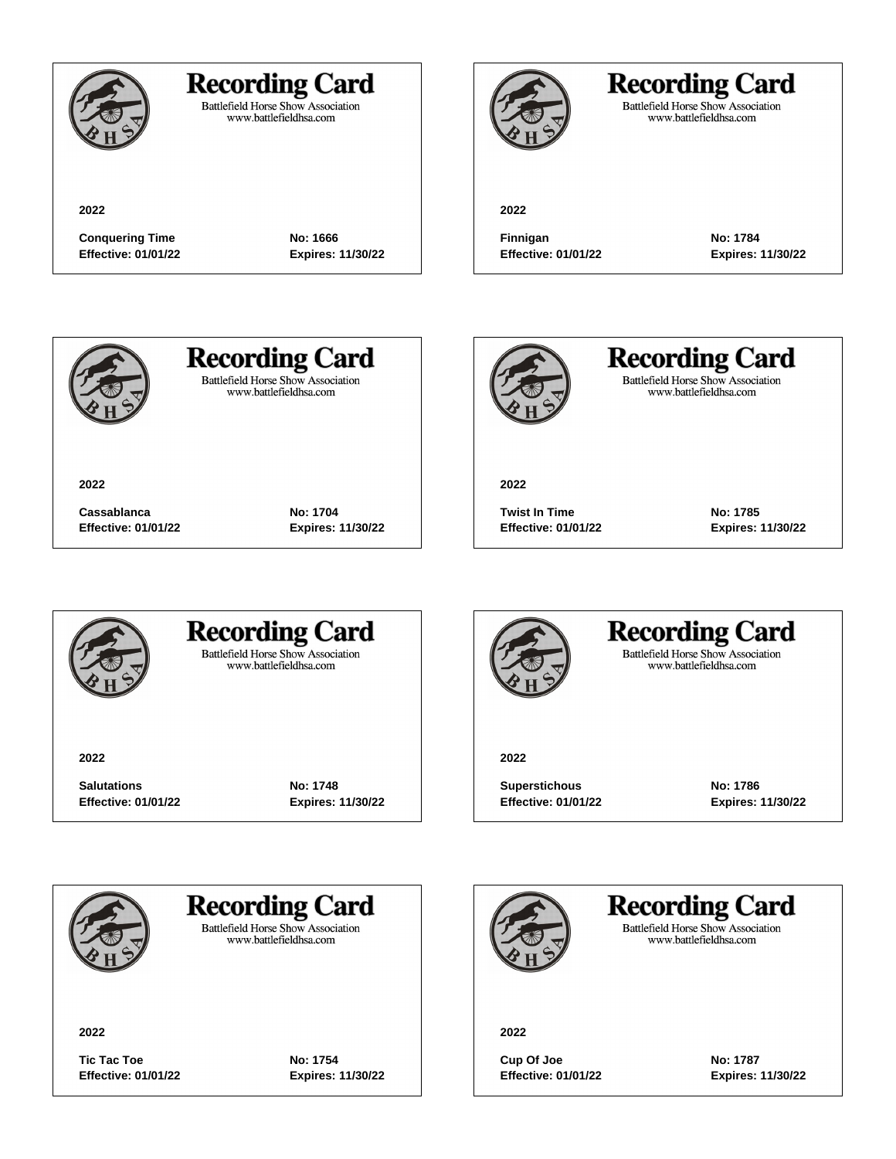

#### **Recording Card**

Battlefield Horse Show Association<br>www.battlefieldhsa.com

**2022**

# **Recording Card**

Battlefield Horse Show Association<br>www.battlefieldhsa.com

**2022**

**Conquering Time No: 1666 Effective: 01/01/22 Expires: 11/30/22**

**Finnigan No: 1784**

**Effective: 01/01/22 Expires: 11/30/22**



**2022**

# **Recording Card**

**Battlefield Horse Show Association** www.battlefieldhsa.com

**Cassablanca No: 1704**

**Effective: 01/01/22 Expires: 11/30/22**



**Recording Card** Battlefield Horse Show Association<br>www.battlefieldhsa.com

**2022**

**Twist In Time No: 1785 Effective: 01/01/22 Expires: 11/30/22**



#### **Recording Card Battlefield Horse Show Association**

www.battlefieldhsa.com

**2022**

**Salutations No: 1748 Effective: 01/01/22 Expires: 11/30/22**



#### **Recording Card Battlefield Horse Show Association** www.battlefieldhsa.com

**2022**

**Superstichous No: 1786 Effective: 01/01/22 Expires: 11/30/22**



**Recording Card** 

**Battlefield Horse Show Association** www.battlefieldhsa.com

**2022**

**Tic Tac Toe No: 1754 Effective: 01/01/22 Expires: 11/30/22**

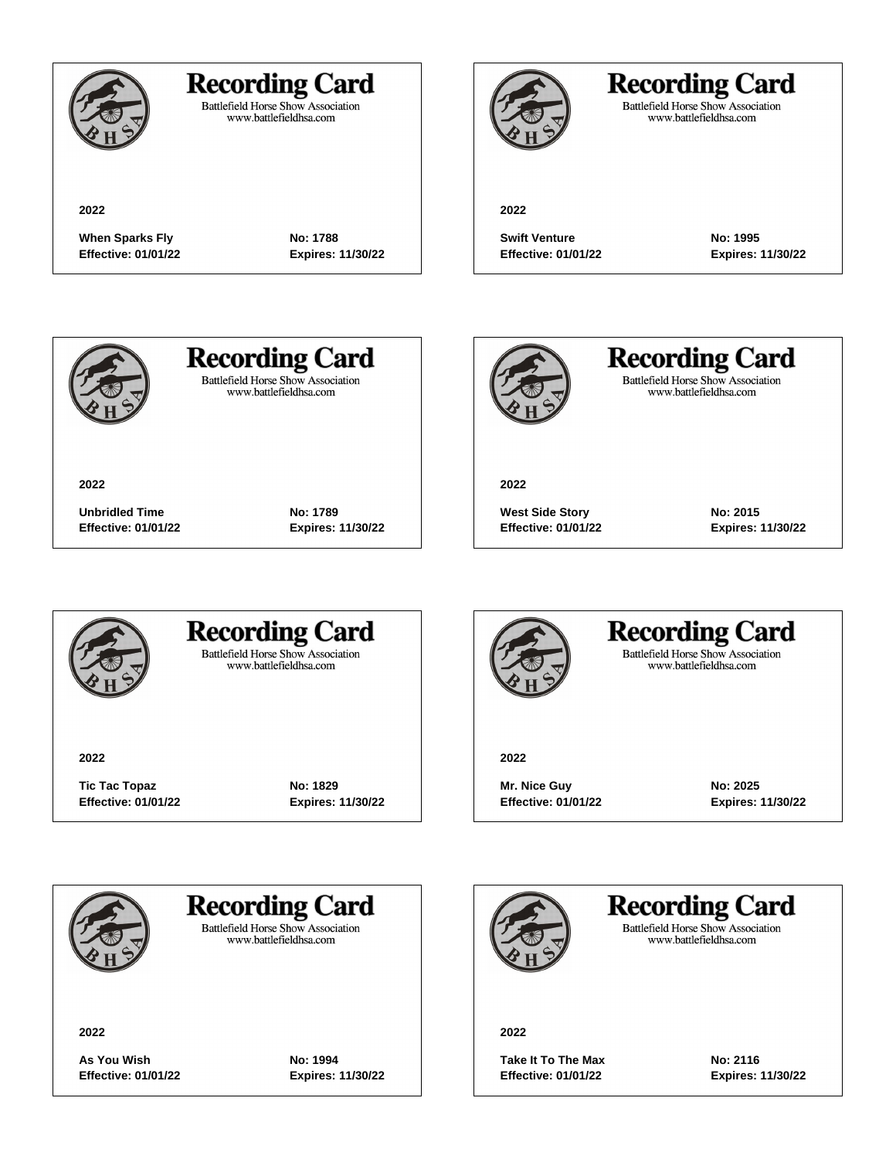

### **Recording Card**

Battlefield Horse Show Association<br>www.battlefieldhsa.com

### **Recording Card**

Battlefield Horse Show Association<br>www.battlefieldhsa.com

#### **2022**

When Sparks Fly **No: 1788 Effective: 01/01/22 Expires: 11/30/22**



**2022**

**Swift Venture No: 1995 Effective: 01/01/22 Expires: 11/30/22**



**2022**

# **Recording Card**

**Battlefield Horse Show Association** www.battlefieldhsa.com

**Unbridled Time No: 1789 Effective: 01/01/22 Expires: 11/30/22**



**Recording Card** Battlefield Horse Show Association<br>www.battlefieldhsa.com

**2022**

**West Side Story No: 2015 Effective: 01/01/22 Expires: 11/30/22**



#### **Recording Card Battlefield Horse Show Association**

www.battlefieldhsa.com

**2022**

**Tic Tac Topaz No: 1829 Effective: 01/01/22 Expires: 11/30/22**



#### **Recording Card Battlefield Horse Show Association** www.battlefieldhsa.com

**2022**

**Mr. Nice Guy No: 2025 Effective: 01/01/22 Expires: 11/30/22**



**Recording Card** 

**Battlefield Horse Show Association** www.battlefieldhsa.com

**2022**

**As You Wish No: 1994 Effective: 01/01/22 Expires: 11/30/22**

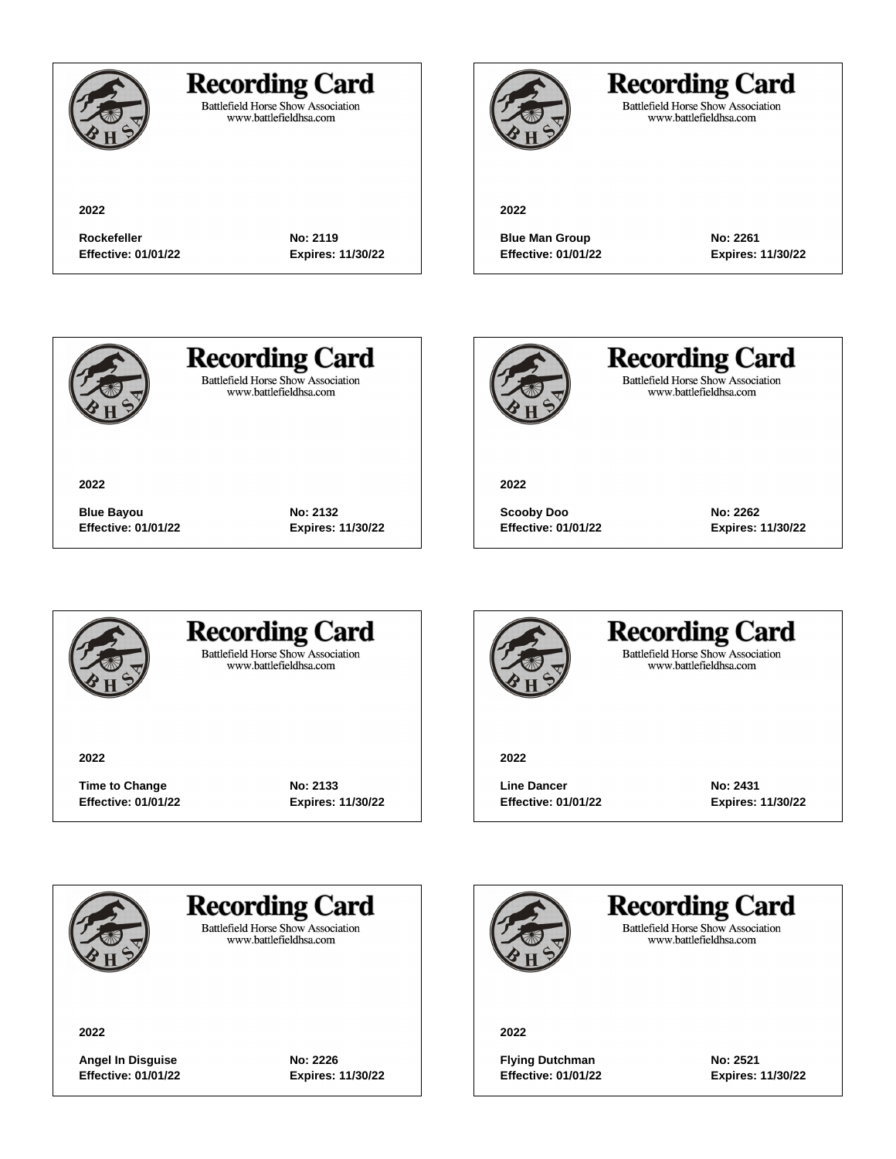

**2022**

### **Recording Card**

**Rockefeller No: 2119 Effective: 01/01/22 Expires: 11/30/22**

**Blue Bayou No: 2132 Effective: 01/01/22 Expires: 11/30/22**

Battlefield Horse Show Association<br>www.battlefieldhsa.com

### **Recording Card**

**Battlefield Horse Show Association** www.battlefieldhsa.com

#### **2022**

**Blue Man Group No: 2261 Effective: 01/01/22 Expires: 11/30/22**



**2022**

# **Recording Card**

**Battlefield Horse Show Association** www.battlefieldhsa.com



**Recording Card** Battlefield Horse Show Association<br>www.battlefieldhsa.com

**2022**

**Scooby Doo No: 2262 Effective: 01/01/22 Expires: 11/30/22**



#### **Recording Card Battlefield Horse Show Association**

www.battlefieldhsa.com

**2022**

**Time to Change No: 2133 Effective: 01/01/22 Expires: 11/30/22**



#### **Recording Card Battlefield Horse Show Association** www.battlefieldhsa.com

**2022**

Line Dancer **No: 2431 Effective: 01/01/22 Expires: 11/30/22**



### **Recording Card**

**Battlefield Horse Show Association** www.battlefieldhsa.com

**2022**

**Angel In Disguise No: 2226 Effective: 01/01/22 Expires: 11/30/22**

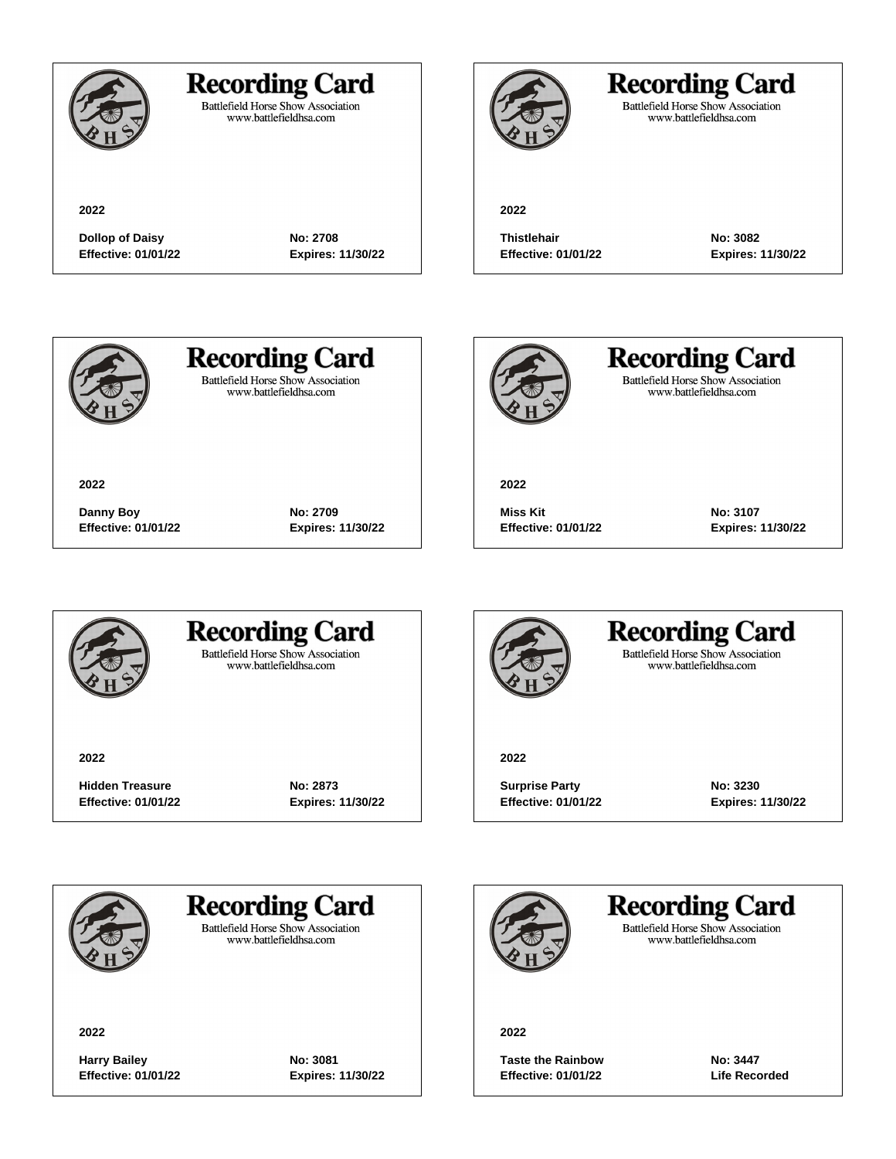

**2022**

#### **Recording Card**

Battlefield Horse Show Association<br>www.battlefieldhsa.com

**Dollop of Daisy No: 2708 Effective: 01/01/22 Expires: 11/30/22**

**Danny Boy No: 2709 Effective: 01/01/22 Expires: 11/30/22**

**2022**

# **Recording Card**

Battlefield Horse Show Association<br>www.battlefieldhsa.com

**Thistlehair No: 3082 Effective: 01/01/22 Expires: 11/30/22**



**2022**

# **Recording Card**

**Battlefield Horse Show Association** www.battlefieldhsa.com



**Recording Card** Battlefield Horse Show Association<br>www.battlefieldhsa.com

**2022**

**Miss Kit No: 3107 Effective: 01/01/22 Expires: 11/30/22**



#### **Recording Card Battlefield Horse Show Association**

www.battlefieldhsa.com

**2022**

**Hidden Treasure No: 2873 Effective: 01/01/22 Expires: 11/30/22**



#### **Recording Card Battlefield Horse Show Association** www.battlefieldhsa.com

**2022**

**Surprise Party**  No: 3230 **Effective: 01/01/22 Expires: 11/30/22**



### **Recording Card**

**Battlefield Horse Show Association** www.battlefieldhsa.com

**2022**

**Harry Bailey No: 3081 Effective: 01/01/22 Expires: 11/30/22**